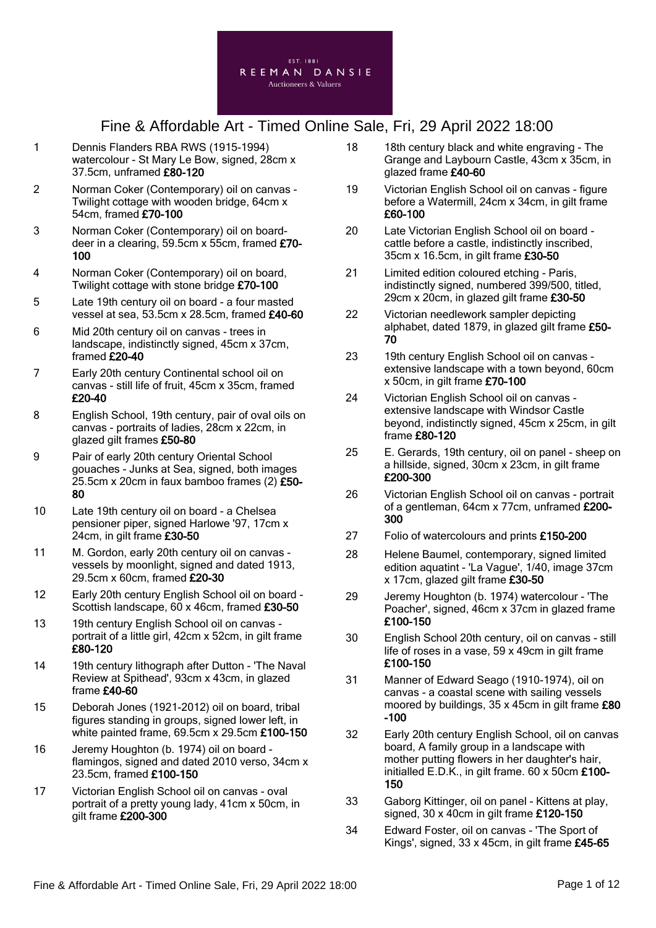

- 1 Dennis Flanders RBA RWS (1915-1994) watercolour - St Mary Le Bow, signed, 28cm x 37.5cm, unframed £80-120
- 2 Norman Coker (Contemporary) oil on canvas Twilight cottage with wooden bridge, 64cm x 54cm, framed £70-100
- 3 Norman Coker (Contemporary) oil on boarddeer in a clearing, 59.5cm x 55cm, framed £70- 100
- 4 Norman Coker (Contemporary) oil on board, Twilight cottage with stone bridge £70-100
- 5 Late 19th century oil on board a four masted vessel at sea, 53.5cm x 28.5cm, framed £40-60
- 6 Mid 20th century oil on canvas trees in landscape, indistinctly signed, 45cm x 37cm, framed £20-40
- 7 Early 20th century Continental school oil on canvas - still life of fruit, 45cm x 35cm, framed £20-40
- 8 English School, 19th century, pair of oval oils on canvas - portraits of ladies, 28cm x 22cm, in glazed gilt frames £50-80
- 9 Pair of early 20th century Oriental School gouaches - Junks at Sea, signed, both images 25.5cm x 20cm in faux bamboo frames (2) £50- 80
- 10 Late 19th century oil on board a Chelsea pensioner piper, signed Harlowe '97, 17cm x 24cm, in gilt frame £30-50
- 11 M. Gordon, early 20th century oil on canvas vessels by moonlight, signed and dated 1913, 29.5cm x 60cm, framed £20-30
- 12 Early 20th century English School oil on board Scottish landscape, 60 x 46cm, framed £30-50
- 13 19th century English School oil on canvas portrait of a little girl, 42cm x 52cm, in gilt frame £80-120
- 14 19th century lithograph after Dutton 'The Naval Review at Spithead', 93cm x 43cm, in glazed frame £40-60
- 15 Deborah Jones (1921-2012) oil on board, tribal figures standing in groups, signed lower left, in white painted frame, 69.5cm x 29.5cm £100-150
- 16 Jeremy Houghton (b. 1974) oil on board flamingos, signed and dated 2010 verso, 34cm x 23.5cm, framed £100-150
- 17 Victorian English School oil on canvas oval portrait of a pretty young lady, 41cm x 50cm, in gilt frame £200-300
- 18 18th century black and white engraving The Grange and Laybourn Castle, 43cm x 35cm, in glazed frame £40-60
- 19 Victorian English School oil on canvas figure before a Watermill, 24cm x 34cm, in gilt frame £60-100
- 20 Late Victorian English School oil on board cattle before a castle, indistinctly inscribed, 35cm x 16.5cm, in gilt frame £30-50
- 21 Limited edition coloured etching Paris, indistinctly signed, numbered 399/500, titled, 29cm x 20cm, in glazed gilt frame £30-50
- 22 Victorian needlework sampler depicting alphabet, dated 1879, in glazed gilt frame £50- 70
- 23 19th century English School oil on canvas extensive landscape with a town beyond, 60cm x 50cm, in gilt frame £70-100
- 24 Victorian English School oil on canvas extensive landscape with Windsor Castle beyond, indistinctly signed, 45cm x 25cm, in gilt frame £80-120
- 25 E. Gerards, 19th century, oil on panel sheep on a hillside, signed, 30cm x 23cm, in gilt frame £200-300
- 26 Victorian English School oil on canvas portrait of a gentleman, 64cm x 77cm, unframed £200-300
- 27 Folio of watercolours and prints £150-200
- 28 Helene Baumel, contemporary, signed limited edition aquatint - 'La Vague', 1/40, image 37cm x 17cm, glazed gilt frame £30-50
- 29 Jeremy Houghton (b. 1974) watercolour 'The Poacher', signed, 46cm x 37cm in glazed frame £100-150
- 30 English School 20th century, oil on canvas still life of roses in a vase, 59 x 49cm in gilt frame £100-150
- 31 Manner of Edward Seago (1910-1974), oil on canvas - a coastal scene with sailing vessels moored by buildings,  $35 \times 45$ cm in gilt frame  $£80$ -100
- 32 Early 20th century English School, oil on canvas board, A family group in a landscape with mother putting flowers in her daughter's hair, initialled E.D.K., in gilt frame. 60 x 50cm £100- 150
- 33 Gaborg Kittinger, oil on panel Kittens at play, signed, 30 x 40cm in gilt frame £120-150
- 34 Edward Foster, oil on canvas 'The Sport of Kings', signed, 33 x 45cm, in gilt frame £45-65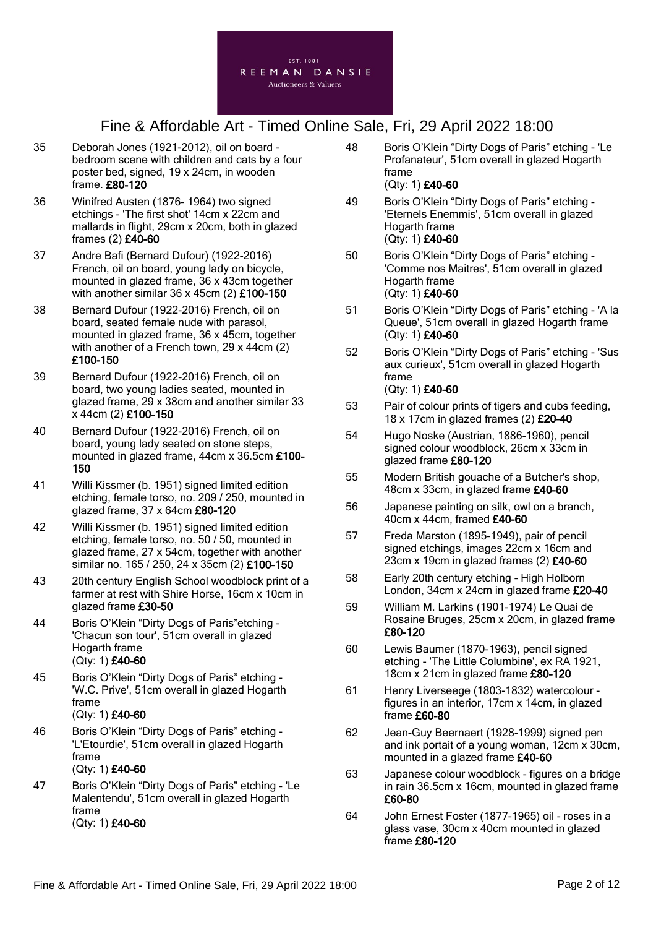

- 35 Deborah Jones (1921-2012), oil on board bedroom scene with children and cats by a four poster bed, signed, 19 x 24cm, in wooden frame. £80-120
- 36 Winifred Austen (1876- 1964) two signed etchings - 'The first shot' 14cm x 22cm and mallards in flight, 29cm x 20cm, both in glazed frames (2) £40-60
- 37 Andre Bafi (Bernard Dufour) (1922-2016) French, oil on board, young lady on bicycle, mounted in glazed frame, 36 x 43cm together with another similar 36 x 45cm (2) £100-150
- 38 Bernard Dufour (1922-2016) French, oil on board, seated female nude with parasol, mounted in glazed frame, 36 x 45cm, together with another of a French town, 29 x 44cm (2) £100-150
- 39 Bernard Dufour (1922-2016) French, oil on board, two young ladies seated, mounted in glazed frame, 29 x 38cm and another similar 33 x 44cm (2) £100-150
- 40 Bernard Dufour (1922-2016) French, oil on board, young lady seated on stone steps, mounted in glazed frame, 44cm x 36.5cm £100- 150
- 41 Willi Kissmer (b. 1951) signed limited edition etching, female torso, no. 209 / 250, mounted in glazed frame, 37 x 64cm £80-120
- 42 Willi Kissmer (b. 1951) signed limited edition etching, female torso, no. 50 / 50, mounted in glazed frame, 27 x 54cm, together with another similar no. 165 / 250, 24 x 35cm (2) £100-150
- 43 20th century English School woodblock print of a farmer at rest with Shire Horse, 16cm x 10cm in glazed frame £30-50
- 44 Boris O'Klein "Dirty Dogs of Paris"etching 'Chacun son tour', 51cm overall in glazed Hogarth frame (Qty: 1) £40-60
- 45 Boris O'Klein "Dirty Dogs of Paris" etching 'W.C. Prive', 51cm overall in glazed Hogarth frame (Qty: 1) £40-60
- 46 Boris O'Klein "Dirty Dogs of Paris" etching 'L'Etourdie', 51cm overall in glazed Hogarth frame (Qty: 1) £40-60
- 47 Boris O'Klein "Dirty Dogs of Paris" etching 'Le Malentendu', 51cm overall in glazed Hogarth frame (Qty: 1) £40-60
- 48 Boris O'Klein "Dirty Dogs of Paris" etching 'Le Profanateur', 51cm overall in glazed Hogarth frame (Qty: 1) £40-60
- 49 Boris O'Klein "Dirty Dogs of Paris" etching 'Eternels Enemmis', 51cm overall in glazed Hogarth frame (Qty: 1) £40-60
- 50 Boris O'Klein "Dirty Dogs of Paris" etching 'Comme nos Maitres', 51cm overall in glazed Hogarth frame (Qty: 1) £40-60
- 51 Boris O'Klein "Dirty Dogs of Paris" etching 'A la Queue', 51cm overall in glazed Hogarth frame (Qty: 1) £40-60
- 52 Boris O'Klein "Dirty Dogs of Paris" etching 'Sus aux curieux', 51cm overall in glazed Hogarth frame (Qty: 1) £40-60
- 53 Pair of colour prints of tigers and cubs feeding, 18 x 17cm in glazed frames (2) £20-40
- 54 Hugo Noske (Austrian, 1886-1960), pencil signed colour woodblock, 26cm x 33cm in glazed frame £80-120
- 55 Modern British gouache of a Butcher's shop, 48cm x 33cm, in glazed frame £40-60
- 56 Japanese painting on silk, owl on a branch, 40cm x 44cm, framed £40-60
- 57 Freda Marston (1895-1949), pair of pencil signed etchings, images 22cm x 16cm and 23cm x 19cm in glazed frames (2) £40-60
- 58 Early 20th century etching High Holborn London, 34cm x 24cm in glazed frame £20-40
- 59 William M. Larkins (1901-1974) Le Quai de Rosaine Bruges, 25cm x 20cm, in glazed frame £80-120
- 60 Lewis Baumer (1870-1963), pencil signed etching - 'The Little Columbine', ex RA 1921, 18cm x 21cm in glazed frame £80-120
- 61 Henry Liverseege (1803-1832) watercolour figures in an interior, 17cm x 14cm, in glazed frame £60-80
- 62 Jean-Guy Beernaert (1928-1999) signed pen and ink portait of a young woman, 12cm x 30cm, mounted in a glazed frame £40-60
- 63 Japanese colour woodblock figures on a bridge in rain 36.5cm x 16cm, mounted in glazed frame £60-80
- 64 John Ernest Foster (1877-1965) oil roses in a glass vase, 30cm x 40cm mounted in glazed frame £80-120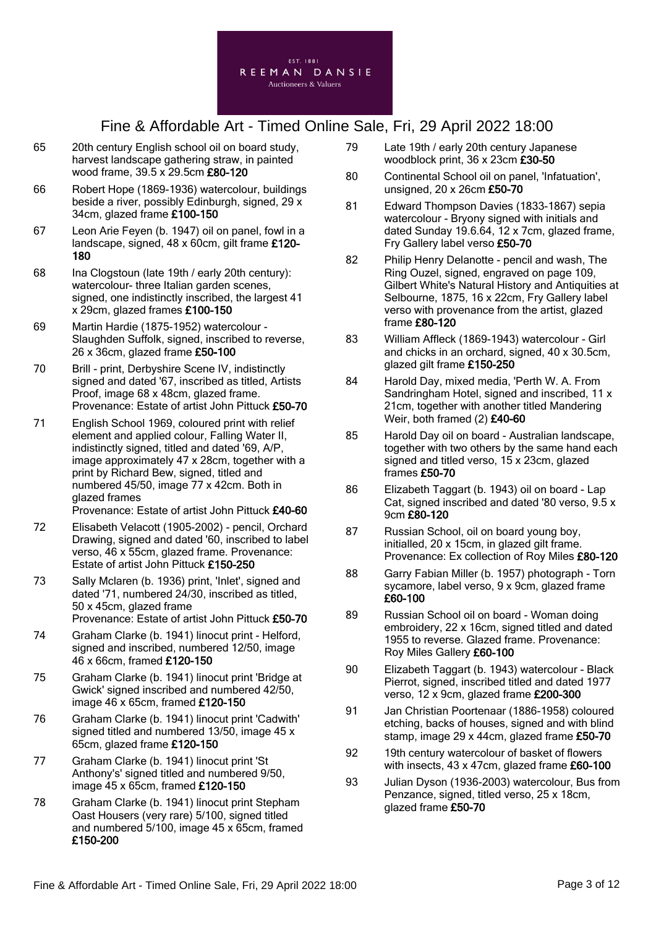

- 65 20th century English school oil on board study, harvest landscape gathering straw, in painted wood frame, 39.5 x 29.5cm £80-120
- 66 Robert Hope (1869-1936) watercolour, buildings beside a river, possibly Edinburgh, signed, 29 x 34cm, glazed frame £100-150
- 67 Leon Arie Feyen (b. 1947) oil on panel, fowl in a landscape, signed, 48 x 60cm, gilt frame £120- 180
- 68 Ina Clogstoun (late 19th / early 20th century): watercolour- three Italian garden scenes, signed, one indistinctly inscribed, the largest 41 x 29cm, glazed frames £100-150
- 69 Martin Hardie (1875-1952) watercolour Slaughden Suffolk, signed, inscribed to reverse, 26 x 36cm, glazed frame £50-100
- 70 Brill print, Derbyshire Scene IV, indistinctly signed and dated '67, inscribed as titled, Artists Proof, image 68 x 48cm, glazed frame. Provenance: Estate of artist John Pittuck £50-70
- 71 English School 1969, coloured print with relief element and applied colour, Falling Water II, indistinctly signed, titled and dated '69, A/P, image approximately 47 x 28cm, together with a print by Richard Bew, signed, titled and numbered 45/50, image 77 x 42cm. Both in glazed frames Provenance: Estate of artist John Pittuck £40-60
- 72 Elisabeth Velacott (1905-2002) pencil, Orchard Drawing, signed and dated '60, inscribed to label verso, 46 x 55cm, glazed frame. Provenance: Estate of artist John Pittuck £150-250
- 73 Sally Mclaren (b. 1936) print, 'Inlet', signed and dated '71, numbered 24/30, inscribed as titled, 50 x 45cm, glazed frame Provenance: Estate of artist John Pittuck £50-70
- 74 Graham Clarke (b. 1941) linocut print Helford, signed and inscribed, numbered 12/50, image 46 x 66cm, framed £120-150
- 75 Graham Clarke (b. 1941) linocut print 'Bridge at Gwick' signed inscribed and numbered 42/50, image 46 x 65cm, framed £120-150
- 76 Graham Clarke (b. 1941) linocut print 'Cadwith' signed titled and numbered 13/50, image 45 x 65cm, glazed frame £120-150
- 77 Graham Clarke (b. 1941) linocut print 'St Anthony's' signed titled and numbered 9/50, image 45 x 65cm, framed £120-150
- 78 Graham Clarke (b. 1941) linocut print Stepham Oast Housers (very rare) 5/100, signed titled and numbered 5/100, image 45 x 65cm, framed £150-200
- 79 Late 19th / early 20th century Japanese woodblock print, 36 x 23cm £30-50
- 80 Continental School oil on panel, 'Infatuation', unsigned, 20 x 26cm £50-70
- 81 Edward Thompson Davies (1833-1867) sepia watercolour - Bryony signed with initials and dated Sunday 19.6.64, 12 x 7cm, glazed frame, Fry Gallery label verso £50-70
- 82 Philip Henry Delanotte pencil and wash, The Ring Ouzel, signed, engraved on page 109, Gilbert White's Natural History and Antiquities at Selbourne, 1875, 16 x 22cm, Fry Gallery label verso with provenance from the artist, glazed frame £80-120
- 83 William Affleck (1869-1943) watercolour Girl and chicks in an orchard, signed, 40 x 30.5cm, glazed gilt frame £150-250
- 84 Harold Day, mixed media, 'Perth W. A. From Sandringham Hotel, signed and inscribed, 11 x 21cm, together with another titled Mandering Weir, both framed (2) £40-60
- 85 Harold Day oil on board Australian landscape, together with two others by the same hand each signed and titled verso, 15 x 23cm, glazed frames £50-70
- 86 Elizabeth Taggart (b. 1943) oil on board Lap Cat, signed inscribed and dated '80 verso, 9.5 x 9cm £80-120
- 87 Russian School, oil on board young boy, initialled, 20 x 15cm, in glazed gilt frame. Provenance: Ex collection of Roy Miles £80-120
- 88 Garry Fabian Miller (b. 1957) photograph Torn sycamore, label verso, 9 x 9cm, glazed frame £60-100
- 89 Russian School oil on board Woman doing embroidery, 22 x 16cm, signed titled and dated 1955 to reverse. Glazed frame. Provenance: Roy Miles Gallery £60-100
- 90 Elizabeth Taggart (b. 1943) watercolour Black Pierrot, signed, inscribed titled and dated 1977 verso, 12 x 9cm, glazed frame £200-300
- 91 Jan Christian Poortenaar (1886-1958) coloured etching, backs of houses, signed and with blind stamp, image 29 x 44cm, glazed frame  $£50-70$
- 92 19th century watercolour of basket of flowers with insects, 43 x 47cm, glazed frame £60-100
- 93 Julian Dyson (1936-2003) watercolour, Bus from Penzance, signed, titled verso, 25 x 18cm, glazed frame £50-70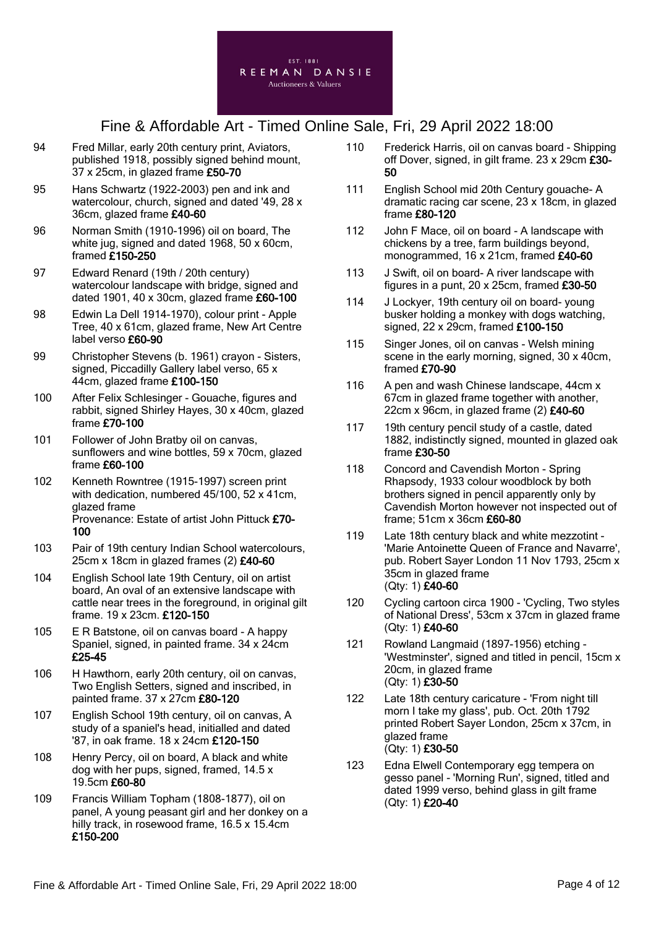

- 94 Fred Millar, early 20th century print, Aviators, published 1918, possibly signed behind mount, 37 x 25cm, in glazed frame £50-70
- 95 Hans Schwartz (1922-2003) pen and ink and watercolour, church, signed and dated '49, 28 x 36cm, glazed frame £40-60
- 96 Norman Smith (1910-1996) oil on board, The white jug, signed and dated 1968, 50 x 60cm, framed £150-250
- 97 Edward Renard (19th / 20th century) watercolour landscape with bridge, signed and dated 1901, 40 x 30cm, glazed frame £60-100
- 98 Edwin La Dell 1914-1970), colour print Apple Tree, 40 x 61cm, glazed frame, New Art Centre label verso £60-90
- 99 Christopher Stevens (b. 1961) crayon Sisters, signed, Piccadilly Gallery label verso, 65 x 44cm, glazed frame £100-150
- 100 After Felix Schlesinger Gouache, figures and rabbit, signed Shirley Hayes, 30 x 40cm, glazed frame £70-100
- 101 Follower of John Bratby oil on canvas, sunflowers and wine bottles, 59 x 70cm, glazed frame £60-100
- 102 Kenneth Rowntree (1915-1997) screen print with dedication, numbered 45/100, 52 x 41cm, glazed frame Provenance: Estate of artist John Pittuck £70- 100
- 103 Pair of 19th century Indian School watercolours, 25cm x 18cm in glazed frames (2) £40-60
- 104 English School late 19th Century, oil on artist board, An oval of an extensive landscape with cattle near trees in the foreground, in original gilt frame. 19 x 23cm. £120-150
- 105 E R Batstone, oil on canvas board A happy Spaniel, signed, in painted frame. 34 x 24cm £25-45
- 106 H Hawthorn, early 20th century, oil on canvas, Two English Setters, signed and inscribed, in painted frame. 37 x 27cm £80-120
- 107 English School 19th century, oil on canvas, A study of a spaniel's head, initialled and dated '87, in oak frame. 18 x 24cm £120-150
- 108 Henry Percy, oil on board, A black and white dog with her pups, signed, framed, 14.5 x 19.5cm £60-80
- 109 Francis William Topham (1808-1877), oil on panel, A young peasant girl and her donkey on a hilly track, in rosewood frame, 16.5 x 15.4cm £150-200
- 110 Frederick Harris, oil on canvas board Shipping off Dover, signed, in gilt frame. 23 x 29cm £30- 50
- 111 English School mid 20th Century gouache- A dramatic racing car scene, 23 x 18cm, in glazed frame £80-120
- 112 John F Mace, oil on board A landscape with chickens by a tree, farm buildings beyond, monogrammed, 16 x 21cm, framed £40-60
- 113 J Swift, oil on board- A river landscape with figures in a punt, 20 x 25cm, framed £30-50
- 114 J Lockyer, 19th century oil on board- young busker holding a monkey with dogs watching, signed, 22 x 29cm, framed £100-150
- 115 Singer Jones, oil on canvas Welsh mining scene in the early morning, signed, 30 x 40cm, framed £70-90
- 116 A pen and wash Chinese landscape, 44cm x 67cm in glazed frame together with another, 22cm x 96cm, in glazed frame  $(2)$  £40-60
- 117 19th century pencil study of a castle, dated 1882, indistinctly signed, mounted in glazed oak frame £30-50
- 118 Concord and Cavendish Morton Spring Rhapsody, 1933 colour woodblock by both brothers signed in pencil apparently only by Cavendish Morton however not inspected out of frame; 51cm x 36cm £60-80
- 119 Late 18th century black and white mezzotint 'Marie Antoinette Queen of France and Navarre', pub. Robert Sayer London 11 Nov 1793, 25cm x 35cm in glazed frame (Qty: 1) £40-60
- 120 Cycling cartoon circa 1900 'Cycling, Two styles of National Dress', 53cm x 37cm in glazed frame (Qty: 1) £40-60
- 121 Rowland Langmaid (1897-1956) etching 'Westminster', signed and titled in pencil, 15cm x 20cm, in glazed frame (Qty: 1) £30-50
- 122 Late 18th century caricature 'From night till morn I take my glass', pub. Oct. 20th 1792 printed Robert Sayer London, 25cm x 37cm, in glazed frame (Qty: 1) £30-50
- 123 Edna Elwell Contemporary egg tempera on gesso panel - 'Morning Run', signed, titled and dated 1999 verso, behind glass in gilt frame (Qty: 1) £20-40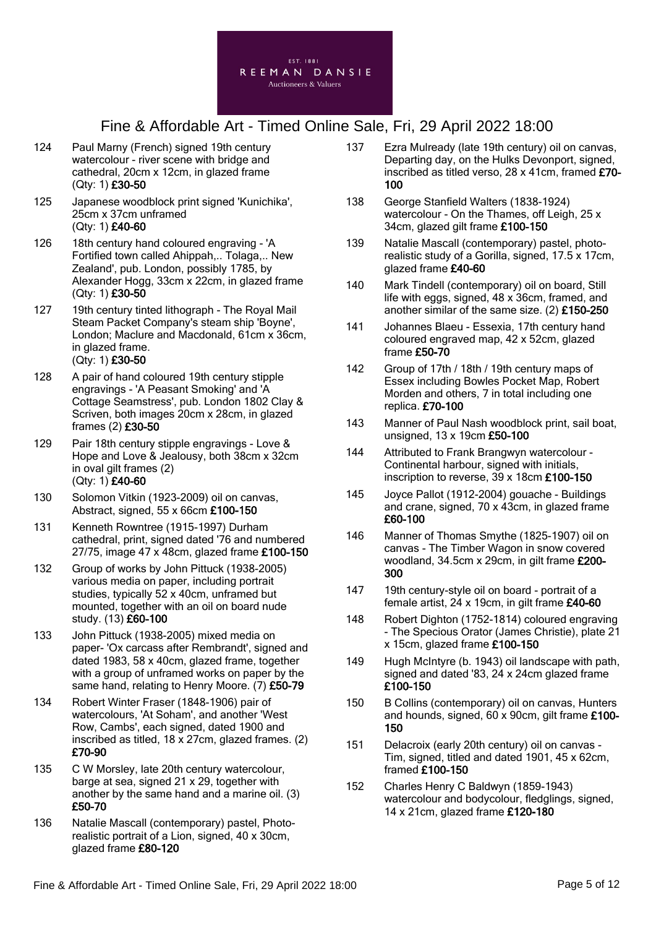

- 124 Paul Marny (French) signed 19th century watercolour - river scene with bridge and cathedral, 20cm x 12cm, in glazed frame (Qty: 1) £30-50
- 125 Japanese woodblock print signed 'Kunichika', 25cm x 37cm unframed (Qty: 1) £40-60
- 126 18th century hand coloured engraving 'A Fortified town called Ahippah,.. Tolaga,.. New Zealand', pub. London, possibly 1785, by Alexander Hogg, 33cm x 22cm, in glazed frame (Qty: 1) £30-50
- 127 19th century tinted lithograph The Royal Mail Steam Packet Company's steam ship 'Boyne', London; Maclure and Macdonald, 61cm x 36cm, in glazed frame. (Qty: 1) £30-50
- 128 A pair of hand coloured 19th century stipple engravings - 'A Peasant Smoking' and 'A Cottage Seamstress', pub. London 1802 Clay & Scriven, both images 20cm x 28cm, in glazed frames (2) £30-50
- 129 Pair 18th century stipple engravings Love & Hope and Love & Jealousy, both 38cm x 32cm in oval gilt frames (2) (Qty: 1) £40-60
- 130 Solomon Vitkin (1923-2009) oil on canvas, Abstract, signed, 55 x 66cm £100-150
- 131 Kenneth Rowntree (1915-1997) Durham cathedral, print, signed dated '76 and numbered 27/75, image 47 x 48cm, glazed frame £100-150
- 132 Group of works by John Pittuck (1938-2005) various media on paper, including portrait studies, typically 52 x 40cm, unframed but mounted, together with an oil on board nude study. (13) £60-100
- 133 John Pittuck (1938-2005) mixed media on paper- 'Ox carcass after Rembrandt', signed and dated 1983, 58 x 40cm, glazed frame, together with a group of unframed works on paper by the same hand, relating to Henry Moore. (7) £50-79
- 134 Robert Winter Fraser (1848-1906) pair of watercolours, 'At Soham', and another 'West Row, Cambs', each signed, dated 1900 and inscribed as titled, 18 x 27cm, glazed frames. (2) £70-90
- 135 C W Morsley, late 20th century watercolour, barge at sea, signed 21 x 29, together with another by the same hand and a marine oil. (3) £50-70
- 136 Natalie Mascall (contemporary) pastel, Photorealistic portrait of a Lion, signed, 40 x 30cm, glazed frame £80-120
- 137 Ezra Mulready (late 19th century) oil on canvas, Departing day, on the Hulks Devonport, signed, inscribed as titled verso, 28 x 41cm, framed £70- 100
- 138 George Stanfield Walters (1838-1924) watercolour - On the Thames, off Leigh, 25 x 34cm, glazed gilt frame £100-150
- 139 Natalie Mascall (contemporary) pastel, photorealistic study of a Gorilla, signed, 17.5 x 17cm, glazed frame £40-60
- 140 Mark Tindell (contemporary) oil on board, Still life with eggs, signed, 48 x 36cm, framed, and another similar of the same size. (2) £150-250
- 141 Johannes Blaeu Essexia, 17th century hand coloured engraved map, 42 x 52cm, glazed frame £50-70
- 142 Group of 17th / 18th / 19th century maps of Essex including Bowles Pocket Map, Robert Morden and others, 7 in total including one replica. £70-100
- 143 Manner of Paul Nash woodblock print, sail boat, unsigned, 13 x 19cm £50-100
- 144 Attributed to Frank Brangwyn watercolour Continental harbour, signed with initials, inscription to reverse, 39 x 18cm £100-150
- 145 Joyce Pallot (1912-2004) gouache Buildings and crane, signed, 70 x 43cm, in glazed frame £60-100
- 146 Manner of Thomas Smythe (1825-1907) oil on canvas - The Timber Wagon in snow covered woodland, 34.5cm x 29cm, in gilt frame £200- 300
- 147 19th century-style oil on board portrait of a female artist, 24 x 19cm, in gilt frame £40-60
- 148 Robert Dighton (1752-1814) coloured engraving - The Specious Orator (James Christie), plate 21 x 15cm, glazed frame £100-150
- 149 Hugh McIntyre (b. 1943) oil landscape with path, signed and dated '83, 24 x 24cm glazed frame £100-150
- 150 B Collins (contemporary) oil on canvas, Hunters and hounds, signed, 60 x 90cm, gilt frame £100- 150
- 151 Delacroix (early 20th century) oil on canvas Tim, signed, titled and dated 1901, 45 x 62cm, framed £100-150
- 152 Charles Henry C Baldwyn (1859-1943) watercolour and bodycolour, fledglings, signed, 14 x 21cm, glazed frame £120-180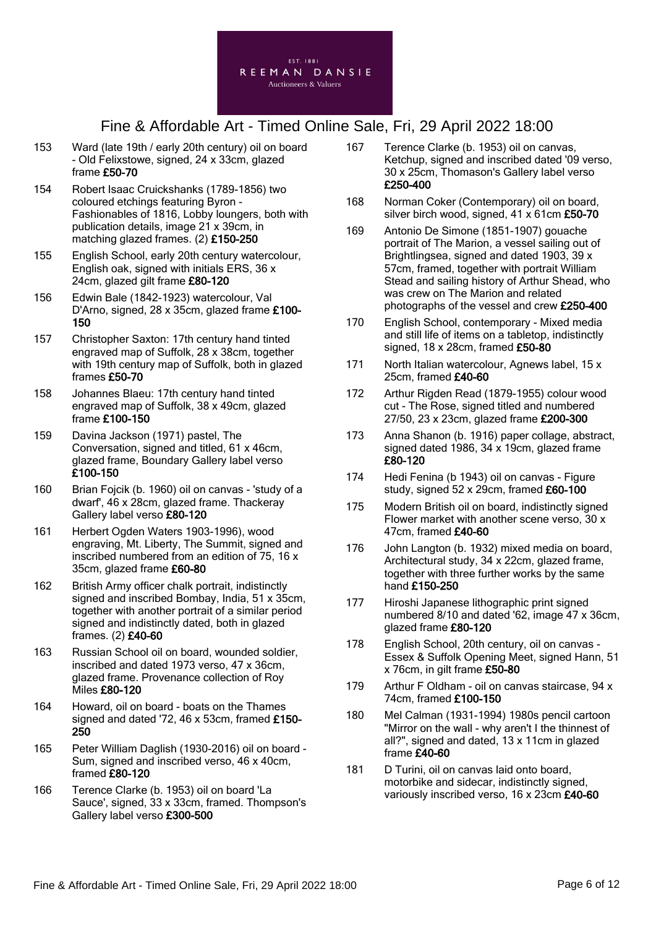

- 153 Ward (late 19th / early 20th century) oil on board - Old Felixstowe, signed, 24 x 33cm, glazed frame £50-70
- 154 Robert Isaac Cruickshanks (1789-1856) two coloured etchings featuring Byron - Fashionables of 1816, Lobby loungers, both with publication details, image 21 x 39cm, in matching glazed frames. (2) £150-250
- 155 English School, early 20th century watercolour, English oak, signed with initials ERS, 36 x 24cm, glazed gilt frame £80-120
- 156 Edwin Bale (1842-1923) watercolour, Val D'Arno, signed, 28 x 35cm, glazed frame £100- 150
- 157 Christopher Saxton: 17th century hand tinted engraved map of Suffolk, 28 x 38cm, together with 19th century map of Suffolk, both in glazed frames £50-70
- 158 Johannes Blaeu: 17th century hand tinted engraved map of Suffolk, 38 x 49cm, glazed frame £100-150
- 159 Davina Jackson (1971) pastel, The Conversation, signed and titled, 61 x 46cm, glazed frame, Boundary Gallery label verso £100-150
- 160 Brian Fojcik (b. 1960) oil on canvas 'study of a dwarf', 46 x 28cm, glazed frame. Thackeray Gallery label verso £80-120
- 161 Herbert Ogden Waters 1903-1996), wood engraving, Mt. Liberty, The Summit, signed and inscribed numbered from an edition of 75, 16 x 35cm, glazed frame £60-80
- 162 British Army officer chalk portrait, indistinctly signed and inscribed Bombay, India, 51 x 35cm, together with another portrait of a similar period signed and indistinctly dated, both in glazed frames. (2) £40-60
- 163 Russian School oil on board, wounded soldier, inscribed and dated 1973 verso, 47 x 36cm, glazed frame. Provenance collection of Roy Miles £80-120
- 164 Howard, oil on board boats on the Thames signed and dated '72, 46 x 53cm, framed £150- 250
- 165 Peter William Daglish (1930-2016) oil on board Sum, signed and inscribed verso, 46 x 40cm, framed £80-120
- 166 Terence Clarke (b. 1953) oil on board 'La Sauce', signed, 33 x 33cm, framed. Thompson's Gallery label verso £300-500
- 167 Terence Clarke (b. 1953) oil on canvas, Ketchup, signed and inscribed dated '09 verso, 30 x 25cm, Thomason's Gallery label verso £250-400
- 168 Norman Coker (Contemporary) oil on board, silver birch wood, signed, 41 x 61cm £50-70
- 169 Antonio De Simone (1851-1907) gouache portrait of The Marion, a vessel sailing out of Brightlingsea, signed and dated 1903, 39 x 57cm, framed, together with portrait William Stead and sailing history of Arthur Shead, who was crew on The Marion and related photographs of the vessel and crew £250-400
- 170 English School, contemporary Mixed media and still life of items on a tabletop, indistinctly signed, 18 x 28cm, framed £50-80
- 171 North Italian watercolour, Agnews label, 15 x 25cm, framed £40-60
- 172 Arthur Rigden Read (1879-1955) colour wood cut - The Rose, signed titled and numbered 27/50, 23 x 23cm, glazed frame £200-300
- 173 Anna Shanon (b. 1916) paper collage, abstract, signed dated 1986, 34 x 19cm, glazed frame £80-120
- 174 Hedi Fenina (b 1943) oil on canvas Figure study, signed  $52 \times 29$ cm, framed  $£60-100$
- 175 Modern British oil on board, indistinctly signed Flower market with another scene verso, 30 x 47cm, framed £40-60
- 176 John Langton (b. 1932) mixed media on board, Architectural study, 34 x 22cm, glazed frame, together with three further works by the same hand £150-250
- 177 Hiroshi Japanese lithographic print signed numbered 8/10 and dated '62, image 47 x 36cm, glazed frame £80-120
- 178 English School, 20th century, oil on canvas Essex & Suffolk Opening Meet, signed Hann, 51 x 76cm, in gilt frame £50-80
- 179 Arthur F Oldham oil on canvas staircase, 94 x 74cm, framed £100-150
- 180 Mel Calman (1931-1994) 1980s pencil cartoon "Mirror on the wall - why aren't I the thinnest of all?", signed and dated, 13 x 11cm in glazed frame £40-60
- 181 D Turini, oil on canvas laid onto board, motorbike and sidecar, indistinctly signed, variously inscribed verso, 16 x 23cm £40-60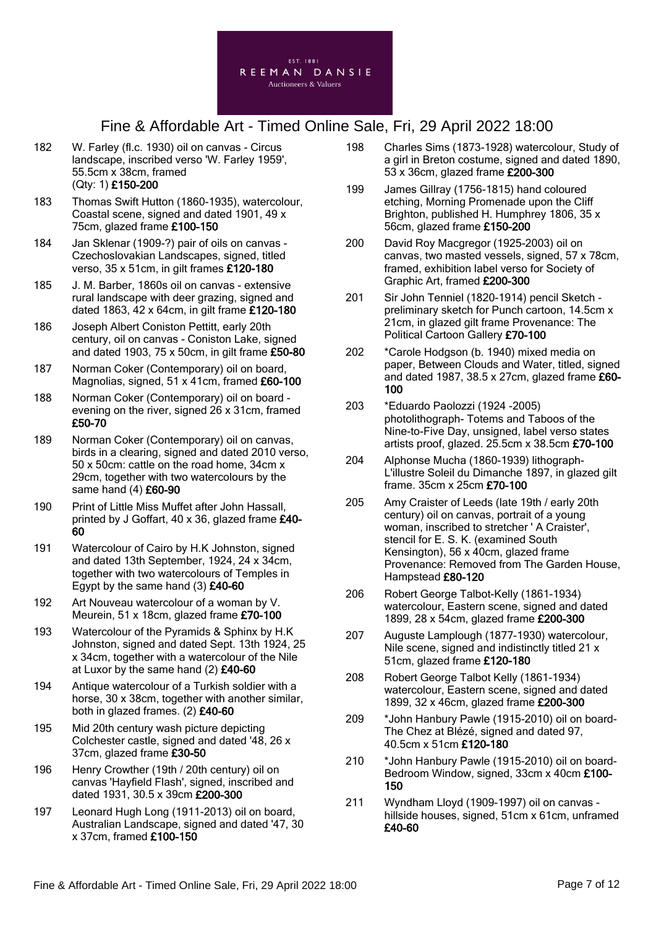

- 182 W. Farley (fl.c. 1930) oil on canvas Circus landscape, inscribed verso 'W. Farley 1959', 55.5cm x 38cm, framed (Qty: 1) £150-200
- 183 Thomas Swift Hutton (1860-1935), watercolour, Coastal scene, signed and dated 1901, 49 x 75cm, glazed frame £100-150
- 184 Jan Sklenar (1909-?) pair of oils on canvas Czechoslovakian Landscapes, signed, titled verso, 35 x 51cm, in gilt frames £120-180
- 185 J. M. Barber, 1860s oil on canvas extensive rural landscape with deer grazing, signed and dated 1863, 42 x 64cm, in gilt frame £120-180
- 186 Joseph Albert Coniston Pettitt, early 20th century, oil on canvas - Coniston Lake, signed and dated 1903, 75 x 50cm, in gilt frame £50-80
- 187 Norman Coker (Contemporary) oil on board, Magnolias, signed, 51 x 41cm, framed £60-100
- 188 Norman Coker (Contemporary) oil on board evening on the river, signed 26 x 31cm, framed £50-70
- 189 Norman Coker (Contemporary) oil on canvas, birds in a clearing, signed and dated 2010 verso, 50 x 50cm: cattle on the road home, 34cm x 29cm, together with two watercolours by the same hand (4) £60-90
- 190 Print of Little Miss Muffet after John Hassall, printed by J Goffart, 40 x 36, glazed frame £40- 60
- 191 Watercolour of Cairo by H.K Johnston, signed and dated 13th September, 1924, 24 x 34cm, together with two watercolours of Temples in Egypt by the same hand (3) £40-60
- 192 Art Nouveau watercolour of a woman by V. Meurein, 51 x 18cm, glazed frame £70-100
- 193 Watercolour of the Pyramids & Sphinx by H.K Johnston, signed and dated Sept. 13th 1924, 25 x 34cm, together with a watercolour of the Nile at Luxor by the same hand (2) £40-60
- 194 Antique watercolour of a Turkish soldier with a horse, 30 x 38cm, together with another similar, both in glazed frames. (2) £40-60
- 195 Mid 20th century wash picture depicting Colchester castle, signed and dated '48, 26 x 37cm, glazed frame £30-50
- 196 Henry Crowther (19th / 20th century) oil on canvas 'Hayfield Flash', signed, inscribed and dated 1931, 30.5 x 39cm £200-300
- 197 Leonard Hugh Long (1911-2013) oil on board, Australian Landscape, signed and dated '47, 30 x 37cm, framed £100-150
- 198 Charles Sims (1873-1928) watercolour, Study of a girl in Breton costume, signed and dated 1890, 53 x 36cm, glazed frame £200-300
- 199 James Gillray (1756-1815) hand coloured etching, Morning Promenade upon the Cliff Brighton, published H. Humphrey 1806, 35 x 56cm, glazed frame £150-200
- 200 David Roy Macgregor (1925-2003) oil on canvas, two masted vessels, signed, 57 x 78cm, framed, exhibition label verso for Society of Graphic Art, framed £200-300
- 201 Sir John Tenniel (1820-1914) pencil Sketch preliminary sketch for Punch cartoon, 14.5cm x 21cm, in glazed gilt frame Provenance: The Political Cartoon Gallery £70-100
- 202 \*Carole Hodgson (b. 1940) mixed media on paper, Between Clouds and Water, titled, signed and dated 1987, 38.5 x 27 $cm$ , glazed frame  $£60-$ 100
- 203 \*Eduardo Paolozzi (1924 -2005) photolithograph- Totems and Taboos of the Nine-to-Five Day, unsigned, label verso states artists proof, glazed. 25.5cm x 38.5cm £70-100
- 204 Alphonse Mucha (1860-1939) lithograph-L'illustre Soleil du Dimanche 1897, in glazed gilt frame. 35cm x 25cm £70-100
- 205 Amy Craister of Leeds (late 19th / early 20th century) oil on canvas, portrait of a young woman, inscribed to stretcher ' A Craister', stencil for E. S. K. (examined South Kensington), 56 x 40cm, glazed frame Provenance: Removed from The Garden House, Hampstead £80-120
- 206 Robert George Talbot-Kelly (1861-1934) watercolour, Eastern scene, signed and dated 1899, 28 x 54cm, glazed frame £200-300
- 207 Auguste Lamplough (1877-1930) watercolour, Nile scene, signed and indistinctly titled 21 x 51cm, glazed frame £120-180
- 208 Robert George Talbot Kelly (1861-1934) watercolour, Eastern scene, signed and dated 1899, 32 x 46cm, glazed frame £200-300
- 209 \*John Hanbury Pawle (1915-2010) oil on board-The Chez at Blézé, signed and dated 97, 40.5cm x 51cm £120-180
- 210 \*John Hanbury Pawle (1915-2010) oil on board-Bedroom Window, signed, 33cm x 40cm £100-150
- 211 Wyndham Lloyd (1909-1997) oil on canvas hillside houses, signed, 51cm x 61cm, unframed £40-60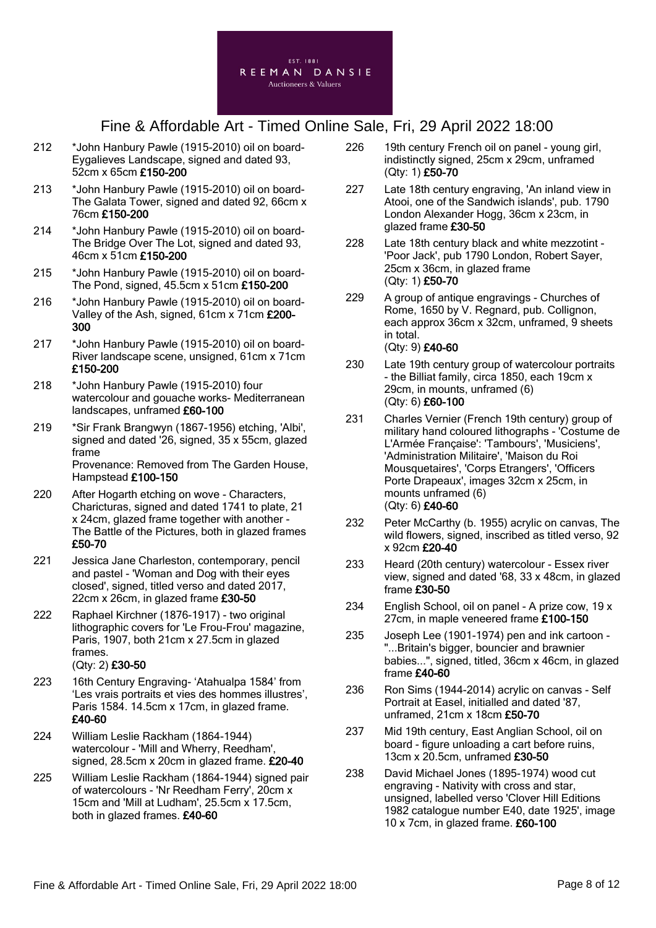

- 212 \*John Hanbury Pawle (1915-2010) oil on board-Eygalieves Landscape, signed and dated 93, 52cm x 65cm £150-200
- 213 \*John Hanbury Pawle (1915-2010) oil on board-The Galata Tower, signed and dated 92, 66cm x 76cm £150-200
- 214 \*John Hanbury Pawle (1915-2010) oil on board-The Bridge Over The Lot, signed and dated 93, 46cm x 51cm £150-200
- 215 \*John Hanbury Pawle (1915-2010) oil on board-The Pond, signed, 45.5cm x 51cm £150-200
- 216 \*John Hanbury Pawle (1915-2010) oil on board-Valley of the Ash, signed, 61cm x 71cm £200- 300
- 217 \*John Hanbury Pawle (1915-2010) oil on board-River landscape scene, unsigned, 61cm x 71cm £150-200
- 218 \*John Hanbury Pawle (1915-2010) four watercolour and gouache works- Mediterranean landscapes, unframed £60-100
- 219 \*Sir Frank Brangwyn (1867-1956) etching, 'Albi', signed and dated '26, signed, 35 x 55cm, glazed frame Provenance: Removed from The Garden House, Hampstead £100-150
- 220 After Hogarth etching on wove Characters, Charicturas, signed and dated 1741 to plate, 21 x 24cm, glazed frame together with another - The Battle of the Pictures, both in glazed frames £50-70
- 221 Jessica Jane Charleston, contemporary, pencil and pastel - 'Woman and Dog with their eyes closed', signed, titled verso and dated 2017, 22cm x 26cm, in glazed frame £30-50
- 222 Raphael Kirchner (1876-1917) two original lithographic covers for 'Le Frou-Frou' magazine, Paris, 1907, both 21cm x 27.5cm in glazed frames. (Qty: 2) £30-50
- 223 16th Century Engraving- 'Atahualpa 1584' from 'Les vrais portraits et vies des hommes illustres', Paris 1584. 14.5cm x 17cm, in glazed frame. £40-60
- 224 William Leslie Rackham (1864-1944) watercolour - 'Mill and Wherry, Reedham', signed, 28.5cm x 20cm in glazed frame. £20-40
- 225 William Leslie Rackham (1864-1944) signed pair of watercolours - 'Nr Reedham Ferry', 20cm x 15cm and 'Mill at Ludham', 25.5cm x 17.5cm, both in glazed frames. £40-60
- 226 19th century French oil on panel young girl, indistinctly signed, 25cm x 29cm, unframed (Qty: 1) £50-70
- 227 Late 18th century engraving, 'An inland view in Atooi, one of the Sandwich islands', pub. 1790 London Alexander Hogg, 36cm x 23cm, in glazed frame £30-50
- 228 Late 18th century black and white mezzotint 'Poor Jack', pub 1790 London, Robert Sayer, 25cm x 36cm, in glazed frame (Qty: 1) £50-70
- 229 A group of antique engravings Churches of Rome, 1650 by V. Regnard, pub. Collignon, each approx 36cm x 32cm, unframed, 9 sheets in total. (Qty: 9) £40-60
- 230 Late 19th century group of watercolour portraits - the Billiat family, circa 1850, each 19cm x 29cm, in mounts, unframed (6) (Qty: 6) £60-100
- 231 Charles Vernier (French 19th century) group of military hand coloured lithographs - 'Costume de L'Armée Française': 'Tambours', 'Musiciens', 'Administration Militaire', 'Maison du Roi Mousquetaires', 'Corps Etrangers', 'Officers Porte Drapeaux', images 32cm x 25cm, in mounts unframed (6) (Qty: 6) £40-60
- 232 Peter McCarthy (b. 1955) acrylic on canvas, The wild flowers, signed, inscribed as titled verso, 92 x 92cm £20-40
- 233 Heard (20th century) watercolour Essex river view, signed and dated '68, 33 x 48cm, in glazed frame £30-50
- 234 English School, oil on panel A prize cow, 19 x 27cm, in maple veneered frame £100-150
- 235 Joseph Lee (1901-1974) pen and ink cartoon "...Britain's bigger, bouncier and brawnier babies...", signed, titled, 36cm x 46cm, in glazed frame £40-60
- 236 Ron Sims (1944-2014) acrylic on canvas Self Portrait at Easel, initialled and dated '87, unframed, 21cm x 18cm £50-70
- 237 Mid 19th century, East Anglian School, oil on board - figure unloading a cart before ruins, 13cm x 20.5cm, unframed £30-50
- 238 David Michael Jones (1895-1974) wood cut engraving - Nativity with cross and star, unsigned, labelled verso 'Clover Hill Editions 1982 catalogue number E40, date 1925', image 10 x 7cm, in glazed frame. £60-100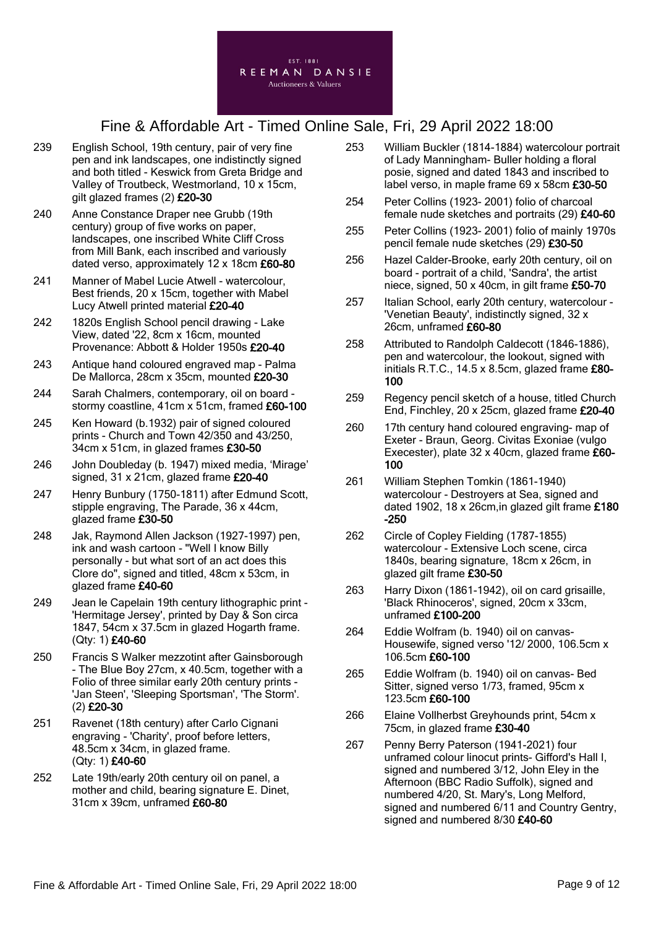

- 239 English School, 19th century, pair of very fine pen and ink landscapes, one indistinctly signed and both titled - Keswick from Greta Bridge and Valley of Troutbeck, Westmorland, 10 x 15cm, gilt glazed frames (2) £20-30
- 240 Anne Constance Draper nee Grubb (19th century) group of five works on paper, landscapes, one inscribed White Cliff Cross from Mill Bank, each inscribed and variously dated verso, approximately 12 x 18cm £60-80
- 241 Manner of Mabel Lucie Atwell watercolour, Best friends, 20 x 15cm, together with Mabel Lucy Atwell printed material £20-40
- 242 1820s English School pencil drawing Lake View, dated '22, 8cm x 16cm, mounted Provenance: Abbott & Holder 1950s £20-40
- 243 Antique hand coloured engraved map Palma De Mallorca, 28cm x 35cm, mounted £20-30
- 244 Sarah Chalmers, contemporary, oil on board stormy coastline, 41cm x 51cm, framed £60-100
- 245 Ken Howard (b.1932) pair of signed coloured prints - Church and Town 42/350 and 43/250, 34cm x 51cm, in glazed frames £30-50
- 246 John Doubleday (b. 1947) mixed media, 'Mirage' signed, 31 x 21cm, glazed frame £20-40
- 247 Henry Bunbury (1750-1811) after Edmund Scott, stipple engraving, The Parade, 36 x 44cm, glazed frame £30-50
- 248 Jak, Raymond Allen Jackson (1927-1997) pen, ink and wash cartoon - "Well I know Billy personally - but what sort of an act does this Clore do", signed and titled, 48cm x 53cm, in glazed frame £40-60
- 249 Jean le Capelain 19th century lithographic print 'Hermitage Jersey', printed by Day & Son circa 1847, 54cm x 37.5cm in glazed Hogarth frame. (Qty: 1) £40-60
- 250 Francis S Walker mezzotint after Gainsborough - The Blue Boy 27cm, x 40.5cm, together with a Folio of three similar early 20th century prints - 'Jan Steen', 'Sleeping Sportsman', 'The Storm'. (2) £20-30
- 251 Ravenet (18th century) after Carlo Cignani engraving - 'Charity', proof before letters, 48.5cm x 34cm, in glazed frame. (Qty: 1) £40-60
- 252 Late 19th/early 20th century oil on panel, a mother and child, bearing signature E. Dinet, 31cm x 39cm, unframed £60-80
- 253 William Buckler (1814-1884) watercolour portrait of Lady Manningham- Buller holding a floral posie, signed and dated 1843 and inscribed to label verso, in maple frame 69 x 58cm £30-50
- 254 Peter Collins (1923- 2001) folio of charcoal female nude sketches and portraits (29) £40-60
- 255 Peter Collins (1923- 2001) folio of mainly 1970s pencil female nude sketches (29) £30-50
- 256 Hazel Calder-Brooke, early 20th century, oil on board - portrait of a child, 'Sandra', the artist niece, signed, 50 x 40cm, in gilt frame £50-70
- 257 Italian School, early 20th century, watercolour 'Venetian Beauty', indistinctly signed, 32 x 26cm, unframed £60-80
- 258 Attributed to Randolph Caldecott (1846-1886), pen and watercolour, the lookout, signed with initials R.T.C., 14.5 x 8.5cm, glazed frame £80- 100
- 259 Regency pencil sketch of a house, titled Church End, Finchley, 20 x 25cm, glazed frame £20-40
- 260 17th century hand coloured engraving- map of Exeter - Braun, Georg. Civitas Exoniae (vulgo Execester), plate 32 x 40cm, glazed frame £60- 100
- 261 William Stephen Tomkin (1861-1940) watercolour - Destroyers at Sea, signed and dated 1902, 18 x 26cm,in glazed gilt frame £180 -250
- 262 Circle of Copley Fielding (1787-1855) watercolour - Extensive Loch scene, circa 1840s, bearing signature, 18cm x 26cm, in glazed gilt frame £30-50
- 263 Harry Dixon (1861-1942), oil on card grisaille, 'Black Rhinoceros', signed, 20cm x 33cm, unframed £100-200
- 264 Eddie Wolfram (b. 1940) oil on canvas-Housewife, signed verso '12/ 2000, 106.5cm x 106.5cm £60-100
- 265 Eddie Wolfram (b. 1940) oil on canvas- Bed Sitter, signed verso 1/73, framed, 95cm x 123.5cm £60-100
- 266 Elaine Vollherbst Greyhounds print, 54cm x 75cm, in glazed frame £30-40
- 267 Penny Berry Paterson (1941-2021) four unframed colour linocut prints- Gifford's Hall I, signed and numbered 3/12, John Eley in the Afternoon (BBC Radio Suffolk), signed and numbered 4/20, St. Mary's, Long Melford, signed and numbered 6/11 and Country Gentry, signed and numbered 8/30 £40-60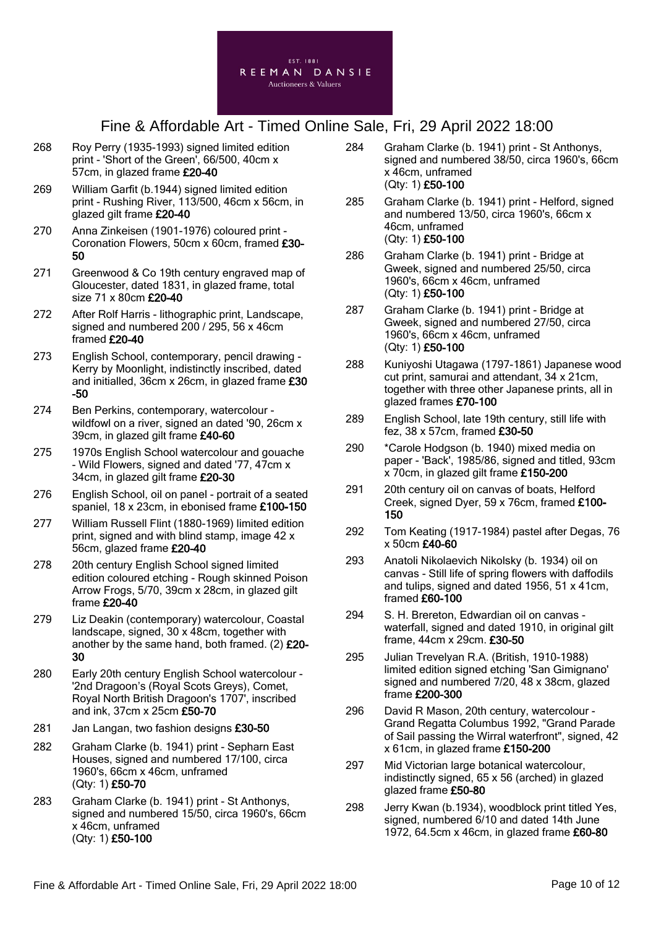

- 268 Roy Perry (1935-1993) signed limited edition print - 'Short of the Green', 66/500, 40cm x 57cm, in glazed frame £20-40
- 269 William Garfit (b.1944) signed limited edition print - Rushing River, 113/500, 46cm x 56cm, in glazed gilt frame £20-40
- 270 Anna Zinkeisen (1901-1976) coloured print Coronation Flowers, 50cm x 60cm, framed £30- 50
- 271 Greenwood & Co 19th century engraved map of Gloucester, dated 1831, in glazed frame, total size 71 x 80cm £20-40
- 272 After Rolf Harris lithographic print, Landscape, signed and numbered 200 / 295, 56 x 46cm framed £20-40
- 273 English School, contemporary, pencil drawing Kerry by Moonlight, indistinctly inscribed, dated and initialled, 36cm x 26cm, in glazed frame £30 -50
- 274 Ben Perkins, contemporary, watercolour wildfowl on a river, signed an dated '90, 26cm x 39cm, in glazed gilt frame £40-60
- 275 1970s English School watercolour and gouache - Wild Flowers, signed and dated '77, 47cm x 34cm, in glazed gilt frame £20-30
- 276 English School, oil on panel portrait of a seated spaniel, 18 x 23cm, in ebonised frame £100-150
- 277 William Russell Flint (1880-1969) limited edition print, signed and with blind stamp, image 42 x 56cm, glazed frame £20-40
- 278 20th century English School signed limited edition coloured etching - Rough skinned Poison Arrow Frogs, 5/70, 39cm x 28cm, in glazed gilt frame £20-40
- 279 Liz Deakin (contemporary) watercolour, Coastal landscape, signed, 30 x 48cm, together with another by the same hand, both framed. (2) £20- 30
- 280 Early 20th century English School watercolour '2nd Dragoon's (Royal Scots Greys), Comet, Royal North British Dragoon's 1707', inscribed and ink, 37cm x 25cm £50-70
- 281 Jan Langan, two fashion designs £30-50
- 282 Graham Clarke (b. 1941) print Sepharn East Houses, signed and numbered 17/100, circa 1960's, 66cm x 46cm, unframed (Qty: 1) £50-70
- 283 Graham Clarke (b. 1941) print St Anthonys, signed and numbered 15/50, circa 1960's, 66cm x 46cm, unframed (Qty: 1) £50-100
- 284 Graham Clarke (b. 1941) print St Anthonys, signed and numbered 38/50, circa 1960's, 66cm x 46cm, unframed (Qty: 1) £50-100
- 285 Graham Clarke (b. 1941) print Helford, signed and numbered 13/50, circa 1960's, 66cm x 46cm, unframed (Qty: 1) £50-100
- 286 Graham Clarke (b. 1941) print Bridge at Gweek, signed and numbered 25/50, circa 1960's, 66cm x 46cm, unframed (Qty: 1) £50-100
- 287 Graham Clarke (b. 1941) print Bridge at Gweek, signed and numbered 27/50, circa 1960's, 66cm x 46cm, unframed (Qty: 1) £50-100
- 288 Kuniyoshi Utagawa (1797-1861) Japanese wood cut print, samurai and attendant, 34 x 21cm, together with three other Japanese prints, all in glazed frames £70-100
- 289 English School, late 19th century, still life with fez, 38 x 57cm, framed £30-50
- 290 \*Carole Hodgson (b. 1940) mixed media on paper - 'Back', 1985/86, signed and titled, 93cm x 70cm, in glazed gilt frame £150-200
- 291 20th century oil on canvas of boats, Helford Creek, signed Dyer, 59 x 76cm, framed £100- 150
- 292 Tom Keating (1917-1984) pastel after Degas, 76 x 50cm £40-60
- 293 Anatoli Nikolaevich Nikolsky (b. 1934) oil on canvas - Still life of spring flowers with daffodils and tulips, signed and dated 1956, 51 x 41cm, framed £60-100
- 294 S. H. Brereton, Edwardian oil on canvas waterfall, signed and dated 1910, in original gilt frame, 44cm x 29cm. £30-50
- 295 Julian Trevelyan R.A. (British, 1910-1988) limited edition signed etching 'San Gimignano' signed and numbered 7/20, 48 x 38cm, glazed frame £200-300
- 296 David R Mason, 20th century, watercolour Grand Regatta Columbus 1992, "Grand Parade of Sail passing the Wirral waterfront", signed, 42 x 61cm, in glazed frame £150-200
- 297 Mid Victorian large botanical watercolour, indistinctly signed, 65 x 56 (arched) in glazed glazed frame £50-80
- 298 Jerry Kwan (b.1934), woodblock print titled Yes, signed, numbered 6/10 and dated 14th June 1972, 64.5cm x 46cm, in glazed frame £60-80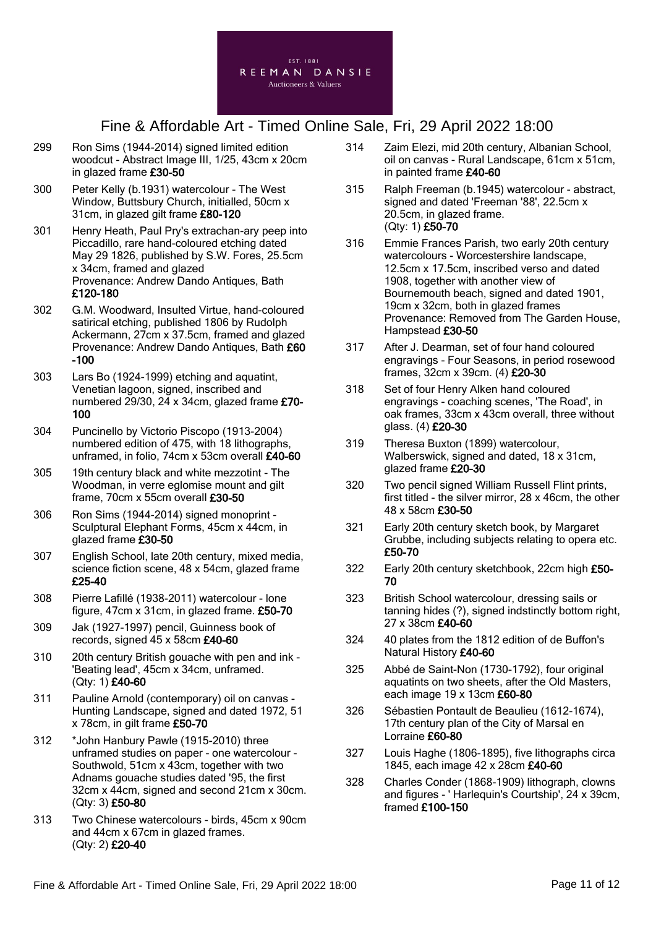

- 299 Ron Sims (1944-2014) signed limited edition woodcut - Abstract Image III, 1/25, 43cm x 20cm in glazed frame £30-50
- 300 Peter Kelly (b.1931) watercolour The West Window, Buttsbury Church, initialled, 50cm x 31cm, in glazed gilt frame £80-120
- 301 Henry Heath, Paul Pry's extrachan-ary peep into Piccadillo, rare hand-coloured etching dated May 29 1826, published by S.W. Fores, 25.5cm x 34cm, framed and glazed Provenance: Andrew Dando Antiques, Bath £120-180
- 302 G.M. Woodward, Insulted Virtue, hand-coloured satirical etching, published 1806 by Rudolph Ackermann, 27cm x 37.5cm, framed and glazed Provenance: Andrew Dando Antiques, Bath £60 -100
- 303 Lars Bo (1924-1999) etching and aquatint, Venetian lagoon, signed, inscribed and numbered 29/30, 24 x 34cm, glazed frame £70- 100
- 304 Puncinello by Victorio Piscopo (1913-2004) numbered edition of 475, with 18 lithographs, unframed, in folio, 74cm x 53cm overall £40-60
- 305 19th century black and white mezzotint The Woodman, in verre eglomise mount and gilt frame, 70cm x 55cm overall £30-50
- 306 Ron Sims (1944-2014) signed monoprint Sculptural Elephant Forms, 45cm x 44cm, in glazed frame £30-50
- 307 English School, late 20th century, mixed media, science fiction scene, 48 x 54cm, glazed frame £25-40
- 308 Pierre Lafillé (1938-2011) watercolour lone figure, 47cm x 31cm, in glazed frame. £50-70
- 309 Jak (1927-1997) pencil, Guinness book of records, signed 45 x 58cm £40-60
- 310 20th century British gouache with pen and ink 'Beating lead', 45cm x 34cm, unframed. (Qty: 1) £40-60
- 311 Pauline Arnold (contemporary) oil on canvas Hunting Landscape, signed and dated 1972, 51 x 78cm, in gilt frame £50-70
- 312 \*John Hanbury Pawle (1915-2010) three unframed studies on paper - one watercolour - Southwold, 51cm x 43cm, together with two Adnams gouache studies dated '95, the first 32cm x 44cm, signed and second 21cm x 30cm. (Qty: 3) £50-80
- 313 Two Chinese watercolours birds, 45cm x 90cm and 44cm x 67cm in glazed frames. (Qty: 2) £20-40
- 314 Zaim Elezi, mid 20th century, Albanian School, oil on canvas - Rural Landscape, 61cm x 51cm, in painted frame £40-60
- 315 Ralph Freeman (b.1945) watercolour abstract, signed and dated 'Freeman '88', 22.5cm x 20.5cm, in glazed frame. (Qty: 1) £50-70
- 316 Emmie Frances Parish, two early 20th century watercolours - Worcestershire landscape, 12.5cm x 17.5cm, inscribed verso and dated 1908, together with another view of Bournemouth beach, signed and dated 1901, 19cm x 32cm, both in glazed frames Provenance: Removed from The Garden House, Hampstead £30-50
- 317 After J. Dearman, set of four hand coloured engravings - Four Seasons, in period rosewood frames, 32cm x 39cm. (4) £20-30
- 318 Set of four Henry Alken hand coloured engravings - coaching scenes, 'The Road', in oak frames, 33cm x 43cm overall, three without glass. (4) £20-30
- 319 Theresa Buxton (1899) watercolour, Walberswick, signed and dated, 18 x 31cm, glazed frame £20-30
- 320 Two pencil signed William Russell Flint prints, first titled - the silver mirror, 28 x 46cm, the other 48 x 58cm £30-50
- 321 Early 20th century sketch book, by Margaret Grubbe, including subjects relating to opera etc. £50-70
- 322 Early 20th century sketchbook, 22cm high £50- 70
- 323 British School watercolour, dressing sails or tanning hides (?), signed indstinctly bottom right, 27 x 38cm £40-60
- 324 40 plates from the 1812 edition of de Buffon's Natural History £40-60
- 325 Abbé de Saint-Non (1730-1792), four original aquatints on two sheets, after the Old Masters, each image 19 x 13cm £60-80
- 326 Sébastien Pontault de Beaulieu (1612-1674), 17th century plan of the City of Marsal en Lorraine £60-80
- 327 Louis Haghe (1806-1895), five lithographs circa 1845, each image 42 x 28cm £40-60
- 328 Charles Conder (1868-1909) lithograph, clowns and figures - ' Harlequin's Courtship', 24 x 39cm, framed £100-150